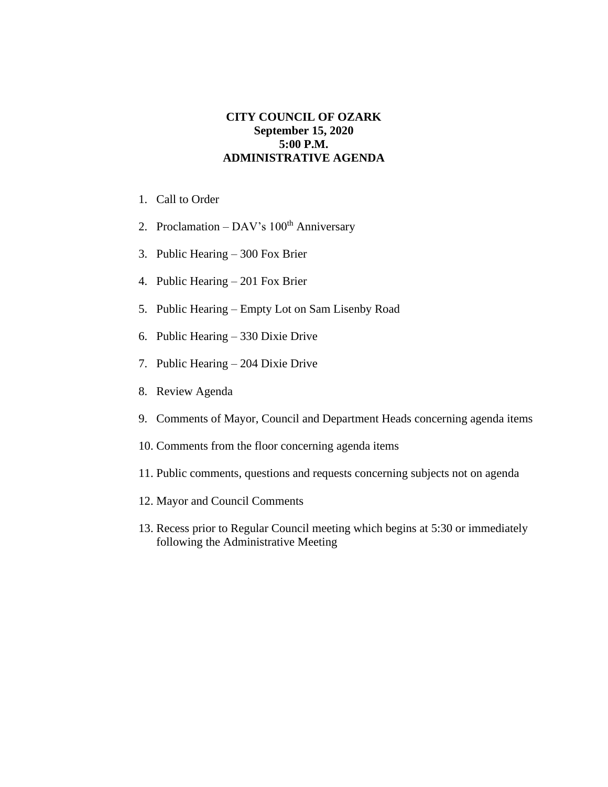## **CITY COUNCIL OF OZARK September 15, 2020 5:00 P.M. ADMINISTRATIVE AGENDA**

- 1. Call to Order
- 2. Proclamation DAV's  $100<sup>th</sup>$  Anniversary
- 3. Public Hearing 300 Fox Brier
- 4. Public Hearing 201 Fox Brier
- 5. Public Hearing Empty Lot on Sam Lisenby Road
- 6. Public Hearing 330 Dixie Drive
- 7. Public Hearing 204 Dixie Drive
- 8. Review Agenda
- 9. Comments of Mayor, Council and Department Heads concerning agenda items
- 10. Comments from the floor concerning agenda items
- 11. Public comments, questions and requests concerning subjects not on agenda
- 12. Mayor and Council Comments
- 13. Recess prior to Regular Council meeting which begins at 5:30 or immediately following the Administrative Meeting